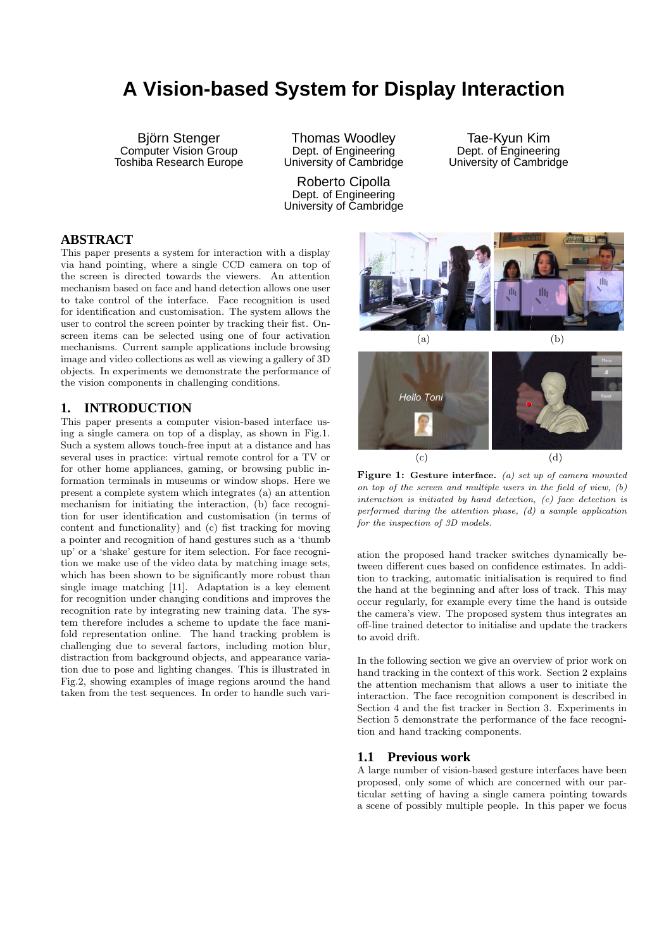# **A Vision-based System for Display Interaction**

Björn Stenger Computer Vision Group Toshiba Research Europe

Thomas Woodley Dept. of Engineering University of Cambridge

Roberto Cipolla Dept. of Engineering University of Cambridge

Tae-Kyun Kim Dept. of Engineering University of Cambridge

## **ABSTRACT**

This paper presents a system for interaction with a display via hand pointing, where a single CCD camera on top of the screen is directed towards the viewers. An attention mechanism based on face and hand detection allows one user to take control of the interface. Face recognition is used for identification and customisation. The system allows the user to control the screen pointer by tracking their fist. Onscreen items can be selected using one of four activation mechanisms. Current sample applications include browsing image and video collections as well as viewing a gallery of 3D objects. In experiments we demonstrate the performance of the vision components in challenging conditions.

### **1. INTRODUCTION**

This paper presents a computer vision-based interface using a single camera on top of a display, as shown in Fig.1. Such a system allows touch-free input at a distance and has several uses in practice: virtual remote control for a TV or for other home appliances, gaming, or browsing public information terminals in museums or window shops. Here we present a complete system which integrates (a) an attention mechanism for initiating the interaction, (b) face recognition for user identification and customisation (in terms of content and functionality) and (c) fist tracking for moving a pointer and recognition of hand gestures such as a 'thumb up' or a 'shake' gesture for item selection. For face recognition we make use of the video data by matching image sets, which has been shown to be significantly more robust than single image matching [11]. Adaptation is a key element for recognition under changing conditions and improves the recognition rate by integrating new training data. The system therefore includes a scheme to update the face manifold representation online. The hand tracking problem is challenging due to several factors, including motion blur, distraction from background objects, and appearance variation due to pose and lighting changes. This is illustrated in Fig.2, showing examples of image regions around the hand taken from the test sequences. In order to handle such vari-



Figure 1: Gesture interface. (a) set up of camera mounted on top of the screen and multiple users in the field of view, (b) interaction is initiated by hand detection, (c) face detection is performed during the attention phase, (d) a sample application for the inspection of 3D models.

ation the proposed hand tracker switches dynamically between different cues based on confidence estimates. In addition to tracking, automatic initialisation is required to find the hand at the beginning and after loss of track. This may occur regularly, for example every time the hand is outside the camera's view. The proposed system thus integrates an off-line trained detector to initialise and update the trackers to avoid drift.

In the following section we give an overview of prior work on hand tracking in the context of this work. Section 2 explains the attention mechanism that allows a user to initiate the interaction. The face recognition component is described in Section 4 and the fist tracker in Section 3. Experiments in Section 5 demonstrate the performance of the face recognition and hand tracking components.

### **1.1 Previous work**

A large number of vision-based gesture interfaces have been proposed, only some of which are concerned with our particular setting of having a single camera pointing towards a scene of possibly multiple people. In this paper we focus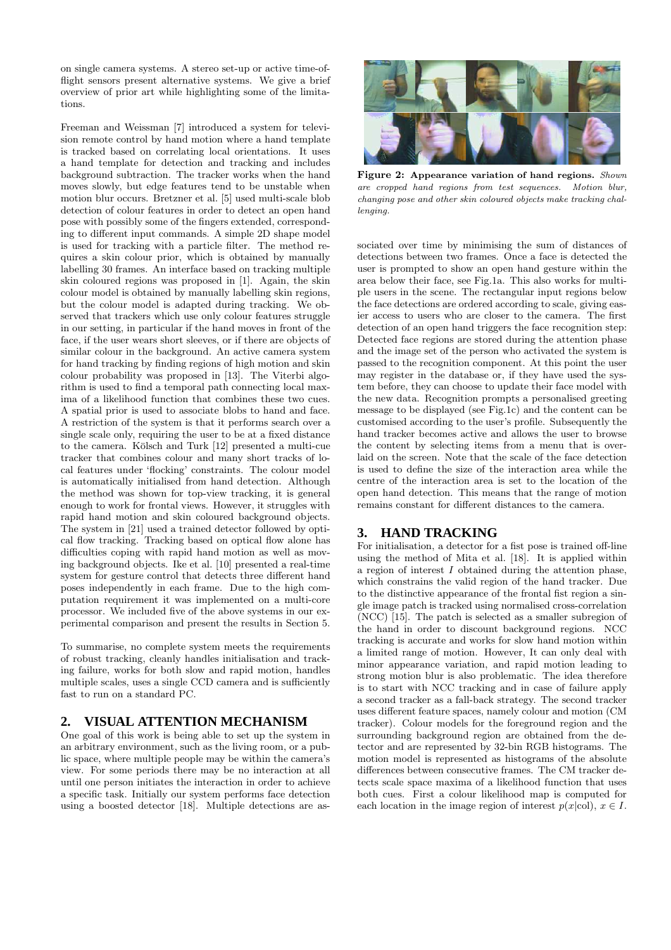on single camera systems. A stereo set-up or active time-offlight sensors present alternative systems. We give a brief overview of prior art while highlighting some of the limitations.

Freeman and Weissman [7] introduced a system for television remote control by hand motion where a hand template is tracked based on correlating local orientations. It uses a hand template for detection and tracking and includes background subtraction. The tracker works when the hand moves slowly, but edge features tend to be unstable when motion blur occurs. Bretzner et al. [5] used multi-scale blob detection of colour features in order to detect an open hand pose with possibly some of the fingers extended, corresponding to different input commands. A simple 2D shape model is used for tracking with a particle filter. The method requires a skin colour prior, which is obtained by manually labelling 30 frames. An interface based on tracking multiple skin coloured regions was proposed in [1]. Again, the skin colour model is obtained by manually labelling skin regions, but the colour model is adapted during tracking. We observed that trackers which use only colour features struggle in our setting, in particular if the hand moves in front of the face, if the user wears short sleeves, or if there are objects of similar colour in the background. An active camera system for hand tracking by finding regions of high motion and skin colour probability was proposed in [13]. The Viterbi algorithm is used to find a temporal path connecting local maxima of a likelihood function that combines these two cues. A spatial prior is used to associate blobs to hand and face. A restriction of the system is that it performs search over a single scale only, requiring the user to be at a fixed distance to the camera. Kölsch and Turk [12] presented a multi-cue tracker that combines colour and many short tracks of local features under 'flocking' constraints. The colour model is automatically initialised from hand detection. Although the method was shown for top-view tracking, it is general enough to work for frontal views. However, it struggles with rapid hand motion and skin coloured background objects. The system in [21] used a trained detector followed by optical flow tracking. Tracking based on optical flow alone has difficulties coping with rapid hand motion as well as moving background objects. Ike et al. [10] presented a real-time system for gesture control that detects three different hand poses independently in each frame. Due to the high computation requirement it was implemented on a multi-core processor. We included five of the above systems in our experimental comparison and present the results in Section 5.

To summarise, no complete system meets the requirements of robust tracking, cleanly handles initialisation and tracking failure, works for both slow and rapid motion, handles multiple scales, uses a single CCD camera and is sufficiently fast to run on a standard PC.

# **2. VISUAL ATTENTION MECHANISM**

One goal of this work is being able to set up the system in an arbitrary environment, such as the living room, or a public space, where multiple people may be within the camera's view. For some periods there may be no interaction at all until one person initiates the interaction in order to achieve a specific task. Initially our system performs face detection using a boosted detector [18]. Multiple detections are as-



Figure 2: Appearance variation of hand regions. Shown are cropped hand regions from test sequences. Motion blur, changing pose and other skin coloured objects make tracking challenging.

sociated over time by minimising the sum of distances of detections between two frames. Once a face is detected the user is prompted to show an open hand gesture within the area below their face, see Fig.1a. This also works for multiple users in the scene. The rectangular input regions below the face detections are ordered according to scale, giving easier access to users who are closer to the camera. The first detection of an open hand triggers the face recognition step: Detected face regions are stored during the attention phase and the image set of the person who activated the system is passed to the recognition component. At this point the user may register in the database or, if they have used the system before, they can choose to update their face model with the new data. Recognition prompts a personalised greeting message to be displayed (see Fig.1c) and the content can be customised according to the user's profile. Subsequently the hand tracker becomes active and allows the user to browse the content by selecting items from a menu that is overlaid on the screen. Note that the scale of the face detection is used to define the size of the interaction area while the centre of the interaction area is set to the location of the open hand detection. This means that the range of motion remains constant for different distances to the camera.

# **3. HAND TRACKING**

For initialisation, a detector for a fist pose is trained off-line using the method of Mita et al. [18]. It is applied within a region of interest I obtained during the attention phase, which constrains the valid region of the hand tracker. Due to the distinctive appearance of the frontal fist region a single image patch is tracked using normalised cross-correlation (NCC) [15]. The patch is selected as a smaller subregion of the hand in order to discount background regions. NCC tracking is accurate and works for slow hand motion within a limited range of motion. However, It can only deal with minor appearance variation, and rapid motion leading to strong motion blur is also problematic. The idea therefore is to start with NCC tracking and in case of failure apply a second tracker as a fall-back strategy. The second tracker uses different feature spaces, namely colour and motion (CM tracker). Colour models for the foreground region and the surrounding background region are obtained from the detector and are represented by 32-bin RGB histograms. The motion model is represented as histograms of the absolute differences between consecutive frames. The CM tracker detects scale space maxima of a likelihood function that uses both cues. First a colour likelihood map is computed for each location in the image region of interest  $p(x|\text{col})$ ,  $x \in I$ .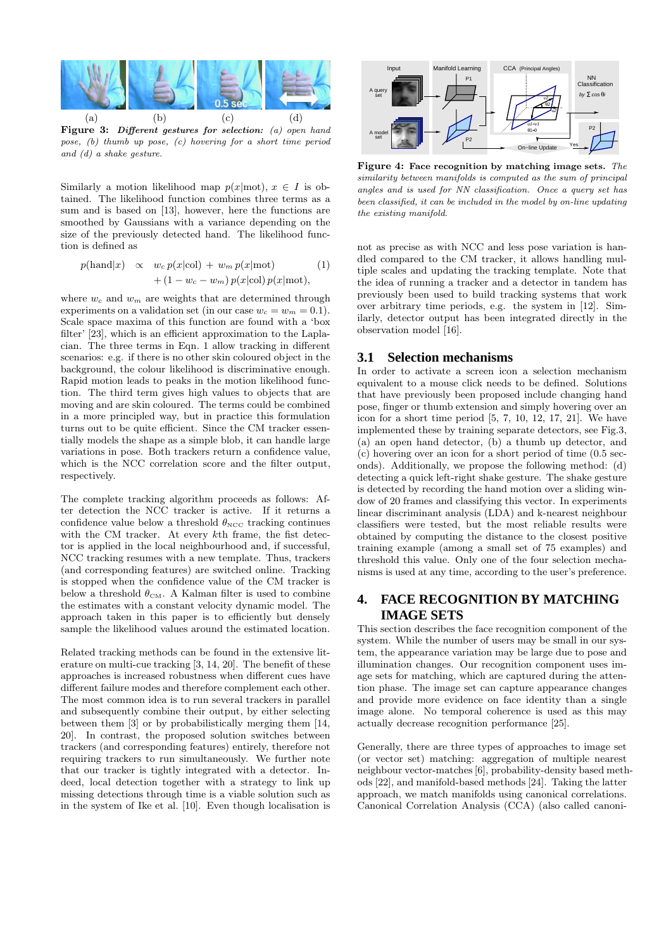

Figure 3: Different gestures for selection: (a) open hand pose, (b) thumb up pose, (c) hovering for a short time period and (d) a shake gesture.

Similarly a motion likelihood map  $p(x|mot)$ ,  $x \in I$  is obtained. The likelihood function combines three terms as a sum and is based on [13], however, here the functions are smoothed by Gaussians with a variance depending on the size of the previously detected hand. The likelihood function is defined as

$$
p(\text{hand}|x) \propto w_c p(x|\text{col}) + w_m p(x|\text{mot}) \qquad (1)
$$
  
+ 
$$
(1 - w_c - w_m) p(x|\text{col}) p(x|\text{mot}),
$$

where  $w_c$  and  $w_m$  are weights that are determined through experiments on a validation set (in our case  $w_c = w_m = 0.1$ ). Scale space maxima of this function are found with a 'box filter' [23], which is an efficient approximation to the Laplacian. The three terms in Eqn. 1 allow tracking in different scenarios: e.g. if there is no other skin coloured object in the background, the colour likelihood is discriminative enough. Rapid motion leads to peaks in the motion likelihood function. The third term gives high values to objects that are moving and are skin coloured. The terms could be combined in a more principled way, but in practice this formulation turns out to be quite efficient. Since the CM tracker essentially models the shape as a simple blob, it can handle large variations in pose. Both trackers return a confidence value, which is the NCC correlation score and the filter output, respectively.

The complete tracking algorithm proceeds as follows: After detection the NCC tracker is active. If it returns a confidence value below a threshold  $\theta_{\text{NCC}}$  tracking continues with the CM tracker. At every kth frame, the fist detector is applied in the local neighbourhood and, if successful, NCC tracking resumes with a new template. Thus, trackers (and corresponding features) are switched online. Tracking is stopped when the confidence value of the CM tracker is below a threshold  $\theta_{\rm CM}$ . A Kalman filter is used to combine the estimates with a constant velocity dynamic model. The approach taken in this paper is to efficiently but densely sample the likelihood values around the estimated location.

Related tracking methods can be found in the extensive literature on multi-cue tracking [3, 14, 20]. The benefit of these approaches is increased robustness when different cues have different failure modes and therefore complement each other. The most common idea is to run several trackers in parallel and subsequently combine their output, by either selecting between them [3] or by probabilistically merging them [14, 20]. In contrast, the proposed solution switches between trackers (and corresponding features) entirely, therefore not requiring trackers to run simultaneously. We further note that our tracker is tightly integrated with a detector. Indeed, local detection together with a strategy to link up missing detections through time is a viable solution such as in the system of Ike et al. [10]. Even though localisation is



Figure 4: Face recognition by matching image sets. The similarity between manifolds is computed as the sum of principal angles and is used for NN classification. Once a query set has been classified, it can be included in the model by on-line updating the existing manifold.

not as precise as with NCC and less pose variation is handled compared to the CM tracker, it allows handling multiple scales and updating the tracking template. Note that the idea of running a tracker and a detector in tandem has previously been used to build tracking systems that work over arbitrary time periods, e.g. the system in [12]. Similarly, detector output has been integrated directly in the observation model [16].

#### **3.1 Selection mechanisms**

In order to activate a screen icon a selection mechanism equivalent to a mouse click needs to be defined. Solutions that have previously been proposed include changing hand pose, finger or thumb extension and simply hovering over an icon for a short time period [5, 7, 10, 12, 17, 21]. We have implemented these by training separate detectors, see Fig.3, (a) an open hand detector, (b) a thumb up detector, and (c) hovering over an icon for a short period of time (0.5 seconds). Additionally, we propose the following method: (d) detecting a quick left-right shake gesture. The shake gesture is detected by recording the hand motion over a sliding window of 20 frames and classifying this vector. In experiments linear discriminant analysis (LDA) and k-nearest neighbour classifiers were tested, but the most reliable results were obtained by computing the distance to the closest positive training example (among a small set of 75 examples) and threshold this value. Only one of the four selection mechanisms is used at any time, according to the user's preference.

# **4. FACE RECOGNITION BY MATCHING IMAGE SETS**

This section describes the face recognition component of the system. While the number of users may be small in our system, the appearance variation may be large due to pose and illumination changes. Our recognition component uses image sets for matching, which are captured during the attention phase. The image set can capture appearance changes and provide more evidence on face identity than a single image alone. No temporal coherence is used as this may actually decrease recognition performance [25].

Generally, there are three types of approaches to image set (or vector set) matching: aggregation of multiple nearest neighbour vector-matches [6], probability-density based methods [22], and manifold-based methods [24]. Taking the latter approach, we match manifolds using canonical correlations. Canonical Correlation Analysis (CCA) (also called canoni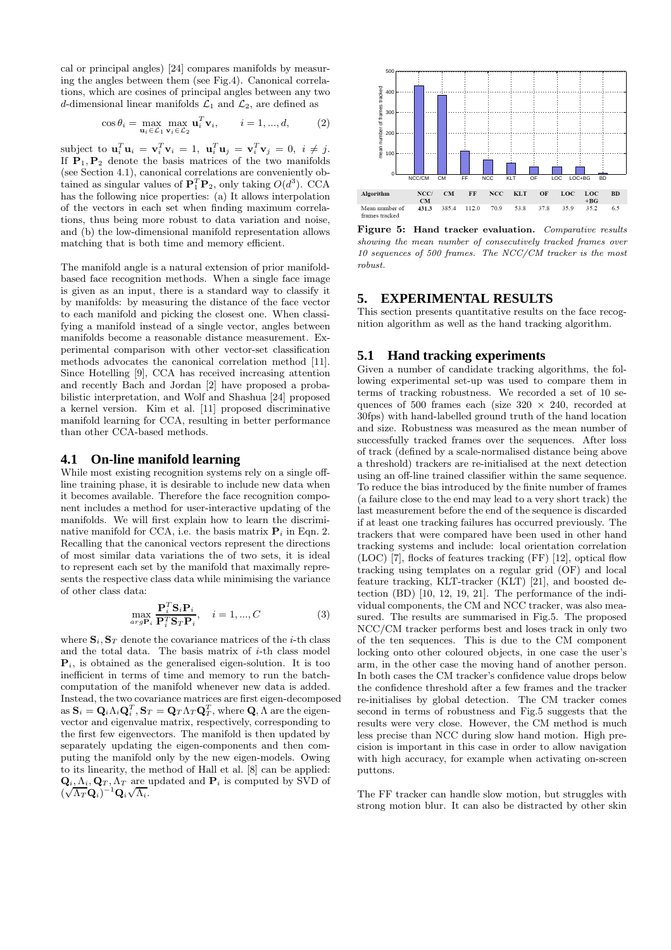cal or principal angles) [24] compares manifolds by measuring the angles between them (see Fig.4). Canonical correlations, which are cosines of principal angles between any two d-dimensional linear manifolds  $\mathcal{L}_1$  and  $\mathcal{L}_2$ , are defined as

$$
\cos \theta_i = \max_{\mathbf{u}_i \in \mathcal{L}_1} \max_{\mathbf{v}_i \in \mathcal{L}_2} \mathbf{u}_i^T \mathbf{v}_i, \qquad i = 1, ..., d,
$$
 (2)

subject to  $\mathbf{u}_i^T \mathbf{u}_i = \mathbf{v}_i^T \mathbf{v}_i = 1$ ,  $\mathbf{u}_i^T \mathbf{u}_j = \mathbf{v}_i^T \mathbf{v}_j = 0$ ,  $i \neq j$ . If  $P_1, P_2$  denote the basis matrices of the two manifolds (see Section 4.1), canonical correlations are conveniently obtained as singular values of  $\mathbf{P}_1^T \mathbf{P}_2$ , only taking  $O(d^3)$ . CCA has the following nice properties: (a) It allows interpolation of the vectors in each set when finding maximum correlations, thus being more robust to data variation and noise, and (b) the low-dimensional manifold representation allows matching that is both time and memory efficient.

The manifold angle is a natural extension of prior manifoldbased face recognition methods. When a single face image is given as an input, there is a standard way to classify it by manifolds: by measuring the distance of the face vector to each manifold and picking the closest one. When classifying a manifold instead of a single vector, angles between manifolds become a reasonable distance measurement. Experimental comparison with other vector-set classification methods advocates the canonical correlation method [11]. Since Hotelling [9], CCA has received increasing attention and recently Bach and Jordan [2] have proposed a probabilistic interpretation, and Wolf and Shashua [24] proposed a kernel version. Kim et al. [11] proposed discriminative manifold learning for CCA, resulting in better performance than other CCA-based methods.

#### **4.1 On-line manifold learning**

While most existing recognition systems rely on a single offline training phase, it is desirable to include new data when it becomes available. Therefore the face recognition component includes a method for user-interactive updating of the manifolds. We will first explain how to learn the discriminative manifold for CCA, i.e. the basis matrix  $P_i$  in Eqn. 2. Recalling that the canonical vectors represent the directions of most similar data variations the of two sets, it is ideal to represent each set by the manifold that maximally represents the respective class data while minimising the variance of other class data:

$$
\max_{\arg \mathbf{P}_i} \frac{\mathbf{P}_i^T \mathbf{S}_i \mathbf{P}_i}{\mathbf{P}_i^T \mathbf{S}_T \mathbf{P}_i}, \quad i = 1, ..., C
$$
 (3)

where  $S_i$ ,  $S_T$  denote the covariance matrices of the *i*-th class and the total data. The basis matrix of  $i$ -th class model  $P_i$ , is obtained as the generalised eigen-solution. It is too inefficient in terms of time and memory to run the batchcomputation of the manifold whenever new data is added. Instead, the two covariance matrices are first eigen-decomposed as  $\mathbf{S}_i = \mathbf{Q}_i \Lambda_i \mathbf{Q}_i^T$ ,  $\mathbf{S}_T = \mathbf{Q}_T \Lambda_T \mathbf{Q}_T^T$ , where  $\mathbf{Q}, \Lambda$  are the eigenvector and eigenvalue matrix, respectively, corresponding to the first few eigenvectors. The manifold is then updated by separately updating the eigen-components and then computing the manifold only by the new eigen-models. Owing to its linearity, the method of Hall et al. [8] can be applied:  $\mathbf{Q}_i, \Lambda_i, \mathbf{Q}_T, \Lambda_T$  are updated and  $\mathbf{P}_i$  is computed by SVD of  $(\sqrt{\Lambda_T} \mathbf{Q}_i)^{-1} \mathbf{Q}_i \sqrt{\Lambda_i}.$ 



Figure 5: Hand tracker evaluation. Comparative results showing the mean number of consecutively tracked frames over 10 sequences of 500 frames. The NCC/CM tracker is the most robust.

### **5. EXPERIMENTAL RESULTS**

This section presents quantitative results on the face recognition algorithm as well as the hand tracking algorithm.

#### **5.1 Hand tracking experiments**

Given a number of candidate tracking algorithms, the following experimental set-up was used to compare them in terms of tracking robustness. We recorded a set of 10 sequences of 500 frames each (size  $320 \times 240$ , recorded at 30fps) with hand-labelled ground truth of the hand location and size. Robustness was measured as the mean number of successfully tracked frames over the sequences. After loss of track (defined by a scale-normalised distance being above a threshold) trackers are re-initialised at the next detection using an off-line trained classifier within the same sequence. To reduce the bias introduced by the finite number of frames (a failure close to the end may lead to a very short track) the last measurement before the end of the sequence is discarded if at least one tracking failures has occurred previously. The trackers that were compared have been used in other hand tracking systems and include: local orientation correlation (LOC) [7], flocks of features tracking (FF) [12], optical flow tracking using templates on a regular grid (OF) and local feature tracking, KLT-tracker (KLT) [21], and boosted detection (BD) [10, 12, 19, 21]. The performance of the individual components, the CM and NCC tracker, was also measured. The results are summarised in Fig.5. The proposed NCC/CM tracker performs best and loses track in only two of the ten sequences. This is due to the CM component locking onto other coloured objects, in one case the user's arm, in the other case the moving hand of another person. In both cases the CM tracker's confidence value drops below the confidence threshold after a few frames and the tracker re-initialises by global detection. The CM tracker comes second in terms of robustness and Fig.5 suggests that the results were very close. However, the CM method is much less precise than NCC during slow hand motion. High precision is important in this case in order to allow navigation with high accuracy, for example when activating on-screen puttons.

The FF tracker can handle slow motion, but struggles with strong motion blur. It can also be distracted by other skin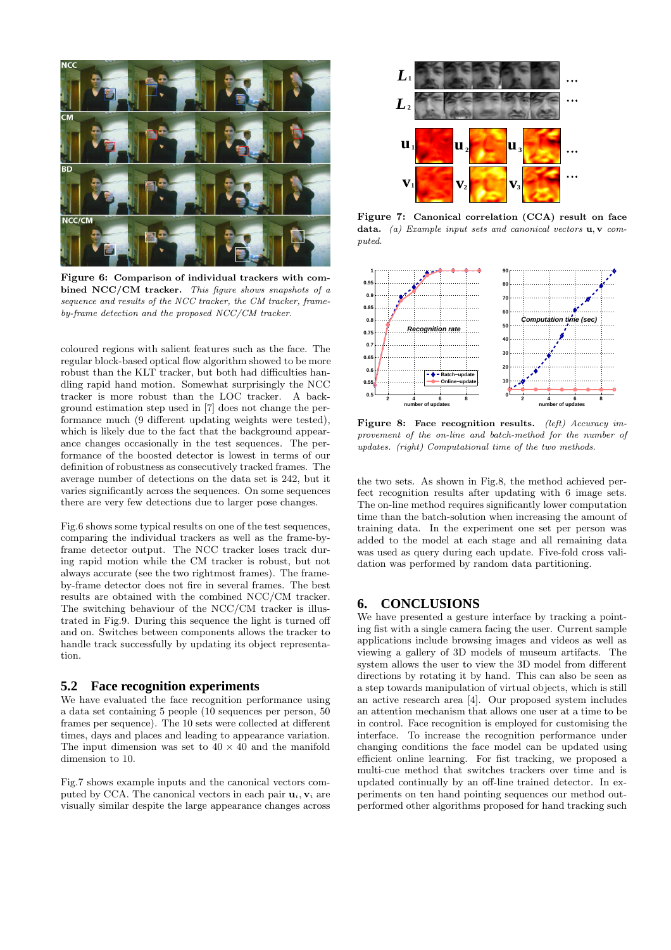

Figure 6: Comparison of individual trackers with combined NCC/CM tracker. This figure shows snapshots of a sequence and results of the NCC tracker, the CM tracker, frameby-frame detection and the proposed NCC/CM tracker.

coloured regions with salient features such as the face. The regular block-based optical flow algorithm showed to be more robust than the KLT tracker, but both had difficulties handling rapid hand motion. Somewhat surprisingly the NCC tracker is more robust than the LOC tracker. A background estimation step used in [7] does not change the performance much (9 different updating weights were tested), which is likely due to the fact that the background appearance changes occasionally in the test sequences. The performance of the boosted detector is lowest in terms of our definition of robustness as consecutively tracked frames. The average number of detections on the data set is 242, but it varies significantly across the sequences. On some sequences there are very few detections due to larger pose changes.

Fig.6 shows some typical results on one of the test sequences, comparing the individual trackers as well as the frame-byframe detector output. The NCC tracker loses track during rapid motion while the CM tracker is robust, but not always accurate (see the two rightmost frames). The frameby-frame detector does not fire in several frames. The best results are obtained with the combined NCC/CM tracker. The switching behaviour of the NCC/CM tracker is illustrated in Fig.9. During this sequence the light is turned off and on. Switches between components allows the tracker to handle track successfully by updating its object representation.

### **5.2 Face recognition experiments**

We have evaluated the face recognition performance using a data set containing 5 people (10 sequences per person, 50 frames per sequence). The 10 sets were collected at different times, days and places and leading to appearance variation. The input dimension was set to  $40 \times 40$  and the manifold dimension to 10.

Fig.7 shows example inputs and the canonical vectors computed by CCA. The canonical vectors in each pair  $\mathbf{u}_i, \mathbf{v}_i$  are visually similar despite the large appearance changes across



Figure 7: Canonical correlation (CCA) result on face data. (a) Example input sets and canonical vectors  $\mathbf{u}, \mathbf{v}$  computed.



Figure 8: Face recognition results. (left) Accuracy improvement of the on-line and batch-method for the number of updates. (right) Computational time of the two methods.

the two sets. As shown in Fig.8, the method achieved perfect recognition results after updating with 6 image sets. The on-line method requires significantly lower computation time than the batch-solution when increasing the amount of training data. In the experiment one set per person was added to the model at each stage and all remaining data was used as query during each update. Five-fold cross validation was performed by random data partitioning.

#### **6. CONCLUSIONS**

We have presented a gesture interface by tracking a pointing fist with a single camera facing the user. Current sample applications include browsing images and videos as well as viewing a gallery of 3D models of museum artifacts. The system allows the user to view the 3D model from different directions by rotating it by hand. This can also be seen as a step towards manipulation of virtual objects, which is still an active research area [4]. Our proposed system includes an attention mechanism that allows one user at a time to be in control. Face recognition is employed for customising the interface. To increase the recognition performance under changing conditions the face model can be updated using efficient online learning. For fist tracking, we proposed a multi-cue method that switches trackers over time and is updated continually by an off-line trained detector. In experiments on ten hand pointing sequences our method outperformed other algorithms proposed for hand tracking such